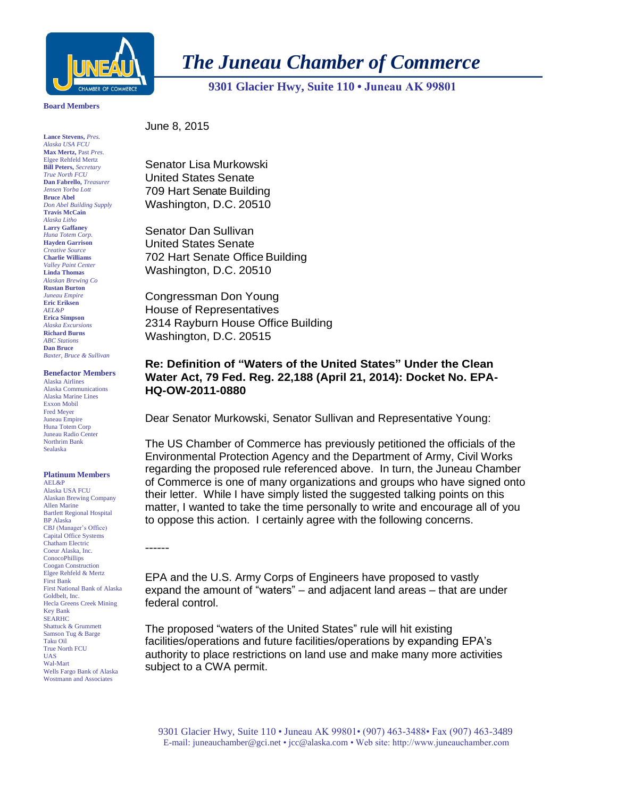

# *The Juneau Chamber of Commerce*

 **9301 Glacier Hwy, Suite 110 • Juneau AK 99801** 

### **Board Members**

**Lance Stevens,** *Pres. Alaska USA FCU* **Max Mertz,** Past *Pres.*  Elgee Rehfeld Mertz **Bill Peters,** *Secretary True North FCU* **Dan Fabrello,** *Treasurer Jensen Yorba Lott* **Bruce Abel** *Don Abel Building Supply* **Travis McCain** *Alaska Litho* **Larry Gaffaney** *Huna Totem Corp.* **Hayden Garrison** *Creative Source* **Charlie Williams** *Valley Paint Center* **Linda Thomas** *Alaskan Brewing Co* **Rustan Burton** *Juneau Empire* **Eric Eriksen** *AEL&P* **Erica Simpson** *Alaska Excursions* **Richard Burns** *ABC Stations* **Dan Bruce** *Baxter, Bruce & Sullivan*

#### **Benefactor Members**

Alaska Airlines Alaska Communications Alaska Marine Lines Exxon Mobil Fred Meyer Juneau Empire Huna Totem Corp Juneau Radio Center Northrim Bank Sealaska

## **Platinum Members**

AEL&P Alaska USA FCU Alaskan Brewing Company Allen Marine Bartlett Regional Hospital BP Alaska CBJ (Manager's Office) Capital Office Systems Chatham Electric Coeur Alaska, Inc. **ConocoPhillips** Coogan Construction Elgee Rehfeld & Mertz First Bank First National Bank of Alaska Goldbelt, Inc. Hecla Greens Creek Mining Key Bank SEARHC Shattuck & Grummett Samson Tug & Barge Taku Oil True North FCU UAS Wal-Mart Wells Fargo Bank of Alaska Wostmann and Associates

------

June 8, 2015

Senator Lisa Murkowski United States Senate 709 Hart Senate Building Washington, D.C. 20510

Senator Dan Sullivan United States Senate 702 Hart Senate Office Building Washington, D.C. 20510

Congressman Don Young House of Representatives 2314 Rayburn House Office Building Washington, D.C. 20515

# **Re: Definition of "Waters of the United States" Under the Clean Water Act, 79 Fed. Reg. 22,188 (April 21, 2014): Docket No. EPA-HQ-OW-2011-0880**

Dear Senator Murkowski, Senator Sullivan and Representative Young:

The US Chamber of Commerce has previously petitioned the officials of the Environmental Protection Agency and the Department of Army, Civil Works regarding the proposed rule referenced above. In turn, the Juneau Chamber of Commerce is one of many organizations and groups who have signed onto their letter. While I have simply listed the suggested talking points on this matter, I wanted to take the time personally to write and encourage all of you to oppose this action. I certainly agree with the following concerns.

EPA and the U.S. Army Corps of Engineers have proposed to vastly expand the amount of "waters" – and adjacent land areas – that are under federal control.

The proposed "waters of the United States" rule will hit existing facilities/operations and future facilities/operations by expanding EPA's authority to place restrictions on land use and make many more activities subject to a CWA permit.